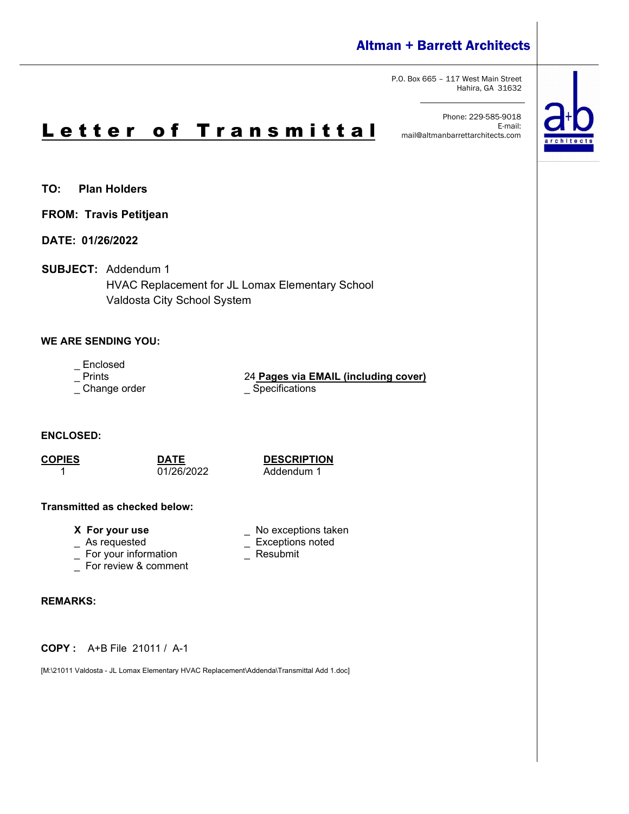# Altman + Barrett Architects

P.O. Box 665 – 117 West Main Street Hahira, GA 31632

Phone: 229-585-9018 E-mail: mail@altmanbarrettarchitects.com



- **TO: Plan Holders**
- **FROM: Travis Petitjean**
- **DATE: 01/26/2022**
- **SUBJECT:** Addendum 1

HVAC Replacement for JL Lomax Elementary School Valdosta City School System

## **WE ARE SENDING YOU:**

- \_ Enclosed<br>\_ Prints
- 
- \_ Change order \_\_\_\_\_\_\_\_\_\_\_\_\_\_\_\_\_\_\_\_\_\_\_\_\_\_Specifications

24 **Pages via EMAIL (including cover)** 

**ENCLOSED:**

**COPIES DATE DESCRIPTION** Addendum 1

\_ Exceptions noted<br>\_ Resubmit

## **Transmitted as checked below:**

- **X** For your use  $\qquad \qquad$  No exceptions taken  $\qquad \qquad$  As requested  $\qquad \qquad \qquad$  Exceptions noted
- 
- $\overline{\phantom{a}}$  For your information
- For review & comment

## **REMARKS:**

**COPY :** A+B File 21011 / A-1

[M:\21011 Valdosta - JL Lomax Elementary HVAC Replacement\Addenda\Transmittal Add 1.doc]

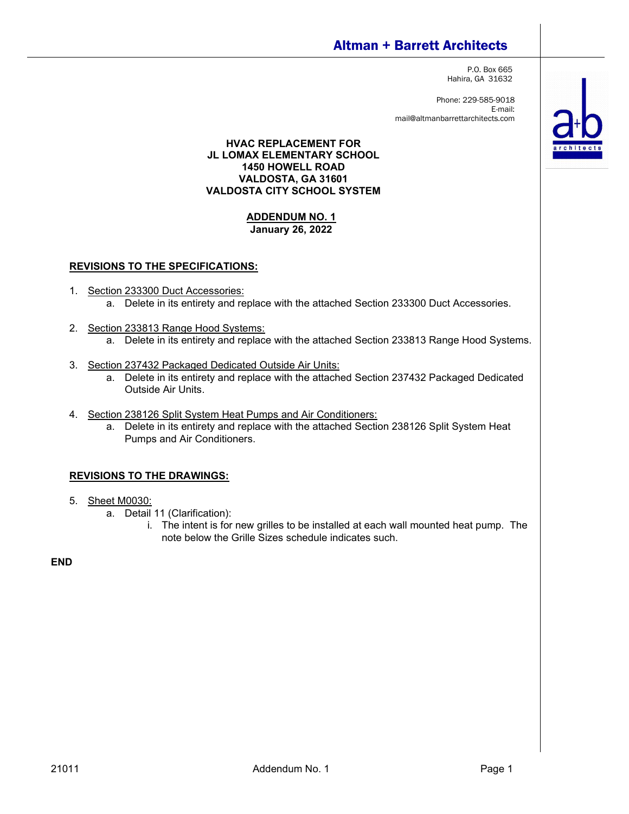# Altman + Barrett Architects

P.O. Box 665 Hahira, GA 31632

Phone: 229-585-9018 E-mail: mail@altmanbarrettarchitects.com

### **HVAC REPLACEMENT FOR JL LOMAX ELEMENTARY SCHOOL 1450 HOWELL ROAD VALDOSTA, GA 31601 VALDOSTA CITY SCHOOL SYSTEM**

## **ADDENDUM NO. 1 January 26, 2022**

## **REVISIONS TO THE SPECIFICATIONS:**

- 1. Section 233300 Duct Accessories: a. Delete in its entirety and replace with the attached Section 233300 Duct Accessories.
- 2. Section 233813 Range Hood Systems: a. Delete in its entirety and replace with the attached Section 233813 Range Hood Systems.
- 3. Section 237432 Packaged Dedicated Outside Air Units:
	- a. Delete in its entirety and replace with the attached Section 237432 Packaged Dedicated Outside Air Units.
- 4. Section 238126 Split System Heat Pumps and Air Conditioners:
	- a. Delete in its entirety and replace with the attached Section 238126 Split System Heat Pumps and Air Conditioners.

## **REVISIONS TO THE DRAWINGS:**

- 5. Sheet M0030:
	- a. Detail 11 (Clarification):
		- i. The intent is for new grilles to be installed at each wall mounted heat pump. The note below the Grille Sizes schedule indicates such.

**END**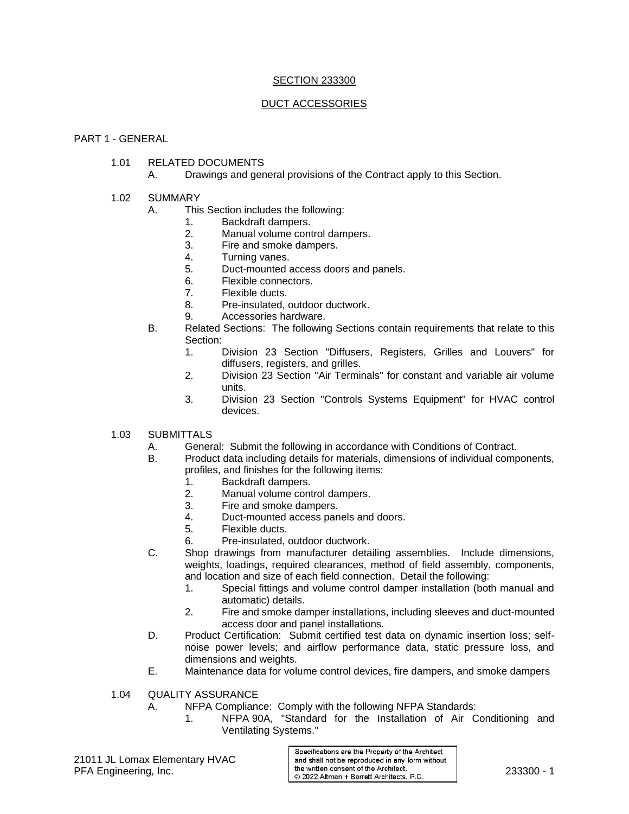## SECTION 233300

## DUCT ACCESSORIES

### PART 1 - GENERAL

1.01 RELATED DOCUMENTS

A. Drawings and general provisions of the Contract apply to this Section.

- 1.02 SUMMARY
	- A. This Section includes the following:
		- 1. Backdraft dampers.
		- 2. Manual volume control dampers.
		- 3. Fire and smoke dampers.
		- 4. Turning vanes.
		- 5. Duct-mounted access doors and panels.
		- 6. Flexible connectors.
		- 7. Flexible ducts.
		- 8. Pre-insulated, outdoor ductwork.
		- 9. Accessories hardware.
	- B. Related Sections: The following Sections contain requirements that relate to this Section:
		- 1. Division 23 Section "Diffusers, Registers, Grilles and Louvers" for diffusers, registers, and grilles.
		- 2. Division 23 Section "Air Terminals" for constant and variable air volume units.
		- 3. Division 23 Section "Controls Systems Equipment" for HVAC control devices.
- 1.03 SUBMITTALS
	- A. General: Submit the following in accordance with Conditions of Contract.
	- B. Product data including details for materials, dimensions of individual components, profiles, and finishes for the following items:
		- 1. Backdraft dampers.
		- 2. Manual volume control dampers.
		- 3. Fire and smoke dampers.
		- 4. Duct-mounted access panels and doors.
		- 5. Flexible ducts.
		- 6. Pre-insulated, outdoor ductwork.
	- C. Shop drawings from manufacturer detailing assemblies. Include dimensions, weights, loadings, required clearances, method of field assembly, components, and location and size of each field connection. Detail the following:
		- 1. Special fittings and volume control damper installation (both manual and automatic) details.
		- 2. Fire and smoke damper installations, including sleeves and duct-mounted access door and panel installations.
	- D. Product Certification: Submit certified test data on dynamic insertion loss; selfnoise power levels; and airflow performance data, static pressure loss, and dimensions and weights.
	- E. Maintenance data for volume control devices, fire dampers, and smoke dampers
- 1.04 QUALITY ASSURANCE
	- A. NFPA Compliance: Comply with the following NFPA Standards:
		- 1. NFPA 90A, "Standard for the Installation of Air Conditioning and Ventilating Systems."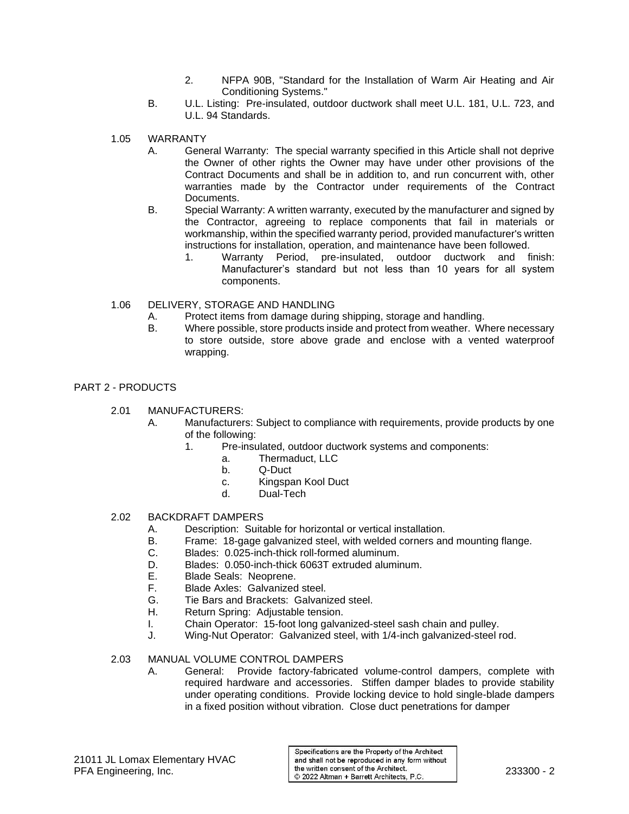- 2. NFPA 90B, "Standard for the Installation of Warm Air Heating and Air Conditioning Systems."
- B. U.L. Listing: Pre-insulated, outdoor ductwork shall meet U.L. 181, U.L. 723, and U.L. 94 Standards.
- 1.05 WARRANTY
	- A. General Warranty: The special warranty specified in this Article shall not deprive the Owner of other rights the Owner may have under other provisions of the Contract Documents and shall be in addition to, and run concurrent with, other warranties made by the Contractor under requirements of the Contract Documents.
	- B. Special Warranty: A written warranty, executed by the manufacturer and signed by the Contractor, agreeing to replace components that fail in materials or workmanship, within the specified warranty period, provided manufacturer's written instructions for installation, operation, and maintenance have been followed.
		- 1. Warranty Period, pre-insulated, outdoor ductwork and finish: Manufacturer's standard but not less than 10 years for all system components.
- 1.06 DELIVERY, STORAGE AND HANDLING
	- A. Protect items from damage during shipping, storage and handling.
	- B. Where possible, store products inside and protect from weather. Where necessary to store outside, store above grade and enclose with a vented waterproof wrapping.
- PART 2 PRODUCTS
	- 2.01 MANUFACTURERS:
		- A. Manufacturers: Subject to compliance with requirements, provide products by one of the following:
			- 1. Pre-insulated, outdoor ductwork systems and components:
				- a. Thermaduct, LLC
				- b. Q-Duct
				- c. Kingspan Kool Duct
				- d. Dual-Tech
	- 2.02 BACKDRAFT DAMPERS
		- A. Description: Suitable for horizontal or vertical installation.
		- B. Frame: 18-gage galvanized steel, with welded corners and mounting flange.
		- C. Blades: 0.025-inch-thick roll-formed aluminum.
		- D. Blades: 0.050-inch-thick 6063T extruded aluminum.
		- E. Blade Seals: Neoprene.
		- F. Blade Axles: Galvanized steel.
		- G. Tie Bars and Brackets: Galvanized steel.
		- H. Return Spring: Adjustable tension.
		- I. Chain Operator: 15-foot long galvanized-steel sash chain and pulley.
		- J. Wing-Nut Operator: Galvanized steel, with 1/4-inch galvanized-steel rod.

#### 2.03 MANUAL VOLUME CONTROL DAMPERS

A. General: Provide factory-fabricated volume-control dampers, complete with required hardware and accessories. Stiffen damper blades to provide stability under operating conditions. Provide locking device to hold single-blade dampers in a fixed position without vibration. Close duct penetrations for damper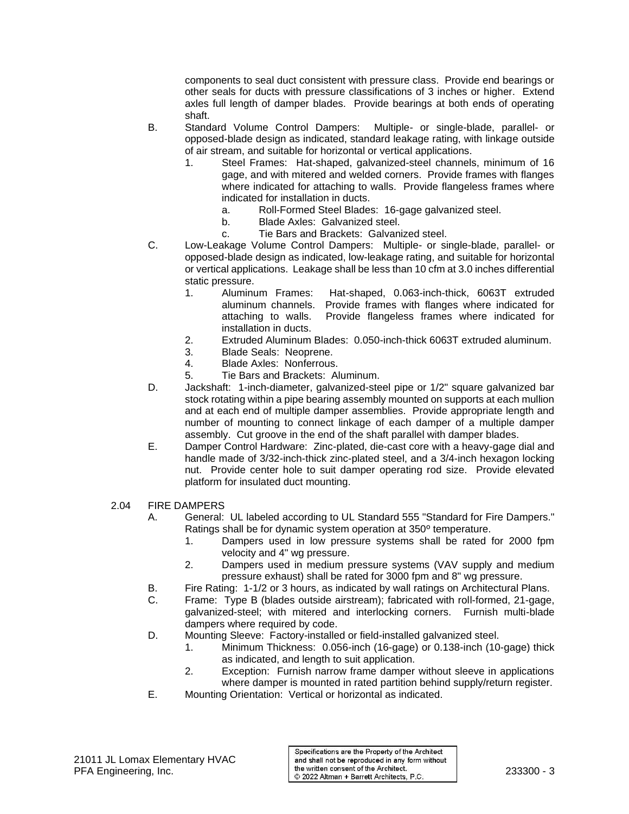components to seal duct consistent with pressure class. Provide end bearings or other seals for ducts with pressure classifications of 3 inches or higher. Extend axles full length of damper blades. Provide bearings at both ends of operating shaft.

- B. Standard Volume Control Dampers: Multiple- or single-blade, parallel- or opposed-blade design as indicated, standard leakage rating, with linkage outside of air stream, and suitable for horizontal or vertical applications.
	- 1. Steel Frames: Hat-shaped, galvanized-steel channels, minimum of 16 gage, and with mitered and welded corners. Provide frames with flanges where indicated for attaching to walls. Provide flangeless frames where indicated for installation in ducts.
		- a. Roll-Formed Steel Blades: 16-gage galvanized steel.
		- b. Blade Axles: Galvanized steel.
		- c. Tie Bars and Brackets: Galvanized steel.
- C. Low-Leakage Volume Control Dampers: Multiple- or single-blade, parallel- or opposed-blade design as indicated, low-leakage rating, and suitable for horizontal or vertical applications. Leakage shall be less than 10 cfm at 3.0 inches differential static pressure.
	- 1. Aluminum Frames: Hat-shaped, 0.063-inch-thick, 6063T extruded aluminum channels. Provide frames with flanges where indicated for attaching to walls. Provide flangeless frames where indicated for installation in ducts.
	- 2. Extruded Aluminum Blades: 0.050-inch-thick 6063T extruded aluminum.
	- 3. Blade Seals: Neoprene.
	- 4. Blade Axles: Nonferrous.
	- 5. Tie Bars and Brackets: Aluminum.
- D. Jackshaft: 1-inch-diameter, galvanized-steel pipe or 1/2" square galvanized bar stock rotating within a pipe bearing assembly mounted on supports at each mullion and at each end of multiple damper assemblies. Provide appropriate length and number of mounting to connect linkage of each damper of a multiple damper assembly. Cut groove in the end of the shaft parallel with damper blades.
- E. Damper Control Hardware: Zinc-plated, die-cast core with a heavy-gage dial and handle made of 3/32-inch-thick zinc-plated steel, and a 3/4-inch hexagon locking nut. Provide center hole to suit damper operating rod size. Provide elevated platform for insulated duct mounting.
- 2.04 FIRE DAMPERS
	- A. General: UL labeled according to UL Standard 555 "Standard for Fire Dampers." Ratings shall be for dynamic system operation at 350º temperature.
		- 1. Dampers used in low pressure systems shall be rated for 2000 fpm velocity and 4" wg pressure.
		- 2. Dampers used in medium pressure systems (VAV supply and medium pressure exhaust) shall be rated for 3000 fpm and 8" wg pressure.
	- B. Fire Rating: 1-1/2 or 3 hours, as indicated by wall ratings on Architectural Plans.
	- C. Frame: Type B (blades outside airstream); fabricated with roll-formed, 21-gage, galvanized-steel; with mitered and interlocking corners. Furnish multi-blade dampers where required by code.
	- D. Mounting Sleeve: Factory-installed or field-installed galvanized steel.
		- 1. Minimum Thickness: 0.056-inch (16-gage) or 0.138-inch (10-gage) thick as indicated, and length to suit application.
		- 2. Exception: Furnish narrow frame damper without sleeve in applications where damper is mounted in rated partition behind supply/return register.
	- E. Mounting Orientation: Vertical or horizontal as indicated.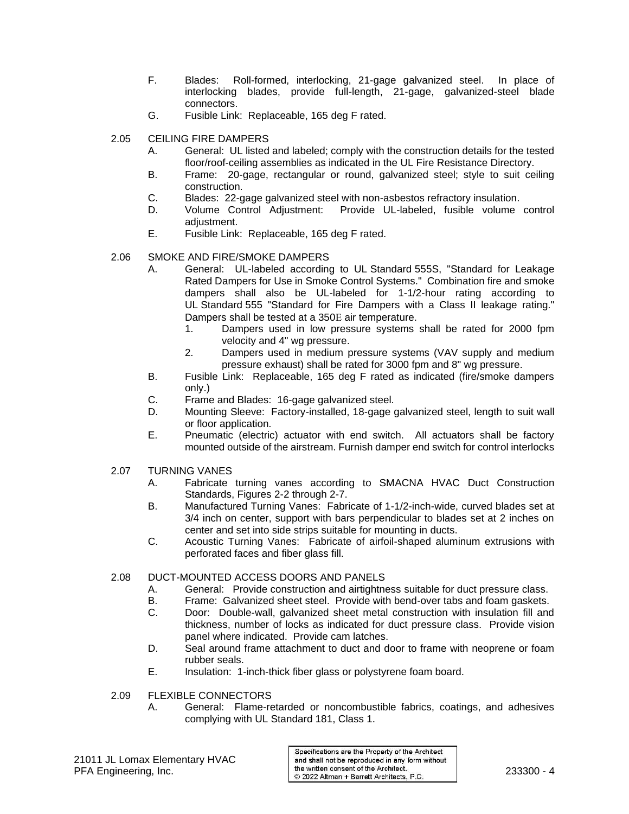- F. Blades: Roll-formed, interlocking, 21-gage galvanized steel. In place of interlocking blades, provide full-length, 21-gage, galvanized-steel blade connectors.
- G. Fusible Link: Replaceable, 165 deg F rated.
- 2.05 CEILING FIRE DAMPERS
	- A. General: UL listed and labeled; comply with the construction details for the tested floor/roof-ceiling assemblies as indicated in the UL Fire Resistance Directory.
	- B. Frame: 20-gage, rectangular or round, galvanized steel; style to suit ceiling construction.
	- C. Blades: 22-gage galvanized steel with non-asbestos refractory insulation.
	- D. Volume Control Adjustment: Provide UL-labeled, fusible volume control adjustment.
	- E. Fusible Link: Replaceable, 165 deg F rated.
- 2.06 SMOKE AND FIRE/SMOKE DAMPERS
	- A. General: UL-labeled according to UL Standard 555S, "Standard for Leakage Rated Dampers for Use in Smoke Control Systems." Combination fire and smoke dampers shall also be UL-labeled for 1-1/2-hour rating according to UL Standard 555 "Standard for Fire Dampers with a Class II leakage rating." Dampers shall be tested at a 350E air temperature.
		- 1. Dampers used in low pressure systems shall be rated for 2000 fpm velocity and 4" wg pressure.
		- 2. Dampers used in medium pressure systems (VAV supply and medium pressure exhaust) shall be rated for 3000 fpm and 8" wg pressure.
	- B. Fusible Link: Replaceable, 165 deg F rated as indicated (fire/smoke dampers only.)
	- C. Frame and Blades: 16-gage galvanized steel.
	- D. Mounting Sleeve: Factory-installed, 18-gage galvanized steel, length to suit wall or floor application.
	- E. Pneumatic (electric) actuator with end switch. All actuators shall be factory mounted outside of the airstream. Furnish damper end switch for control interlocks
- 2.07 TURNING VANES
	- A. Fabricate turning vanes according to SMACNA HVAC Duct Construction Standards, Figures 2-2 through 2-7.
	- B. Manufactured Turning Vanes: Fabricate of 1-1/2-inch-wide, curved blades set at 3/4 inch on center, support with bars perpendicular to blades set at 2 inches on center and set into side strips suitable for mounting in ducts.
	- C. Acoustic Turning Vanes: Fabricate of airfoil-shaped aluminum extrusions with perforated faces and fiber glass fill.
- 2.08 DUCT-MOUNTED ACCESS DOORS AND PANELS
	- A. General: Provide construction and airtightness suitable for duct pressure class.
	- B. Frame: Galvanized sheet steel. Provide with bend-over tabs and foam gaskets.
	- C. Door: Double-wall, galvanized sheet metal construction with insulation fill and thickness, number of locks as indicated for duct pressure class. Provide vision panel where indicated. Provide cam latches.
	- D. Seal around frame attachment to duct and door to frame with neoprene or foam rubber seals.
	- E. Insulation: 1-inch-thick fiber glass or polystyrene foam board.

## 2.09 FLEXIBLE CONNECTORS

A. General: Flame-retarded or noncombustible fabrics, coatings, and adhesives complying with UL Standard 181, Class 1.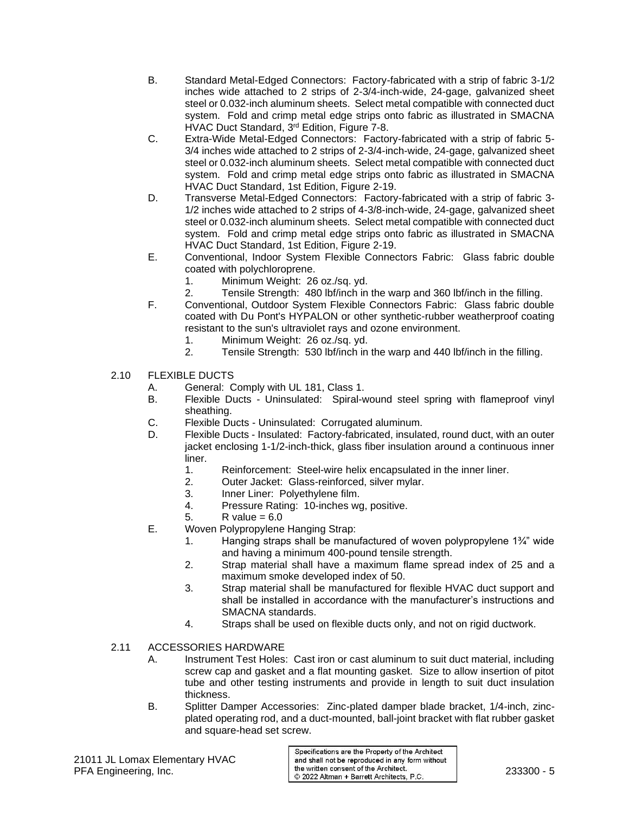- B. Standard Metal-Edged Connectors: Factory-fabricated with a strip of fabric 3-1/2 inches wide attached to 2 strips of 2-3/4-inch-wide, 24-gage, galvanized sheet steel or 0.032-inch aluminum sheets. Select metal compatible with connected duct system. Fold and crimp metal edge strips onto fabric as illustrated in SMACNA HVAC Duct Standard, 3<sup>rd</sup> Edition, Figure 7-8.
- C. Extra-Wide Metal-Edged Connectors: Factory-fabricated with a strip of fabric 5- 3/4 inches wide attached to 2 strips of 2-3/4-inch-wide, 24-gage, galvanized sheet steel or 0.032-inch aluminum sheets. Select metal compatible with connected duct system. Fold and crimp metal edge strips onto fabric as illustrated in SMACNA HVAC Duct Standard, 1st Edition, Figure 2-19.
- D. Transverse Metal-Edged Connectors: Factory-fabricated with a strip of fabric 3- 1/2 inches wide attached to 2 strips of 4-3/8-inch-wide, 24-gage, galvanized sheet steel or 0.032-inch aluminum sheets. Select metal compatible with connected duct system. Fold and crimp metal edge strips onto fabric as illustrated in SMACNA HVAC Duct Standard, 1st Edition, Figure 2-19.
- E. Conventional, Indoor System Flexible Connectors Fabric: Glass fabric double coated with polychloroprene.
	- 1. Minimum Weight: 26 oz./sq. yd.
	- 2. Tensile Strength: 480 lbf/inch in the warp and 360 lbf/inch in the filling.
- F. Conventional, Outdoor System Flexible Connectors Fabric: Glass fabric double coated with Du Pont's HYPALON or other synthetic-rubber weatherproof coating resistant to the sun's ultraviolet rays and ozone environment.
	- 1. Minimum Weight: 26 oz./sq. yd.<br>2. Tensile Strenath: 530 lbf/inch in
	- 2. Tensile Strength: 530 lbf/inch in the warp and 440 lbf/inch in the filling.
- 2.10 FLEXIBLE DUCTS
	- A. General: Comply with UL 181, Class 1.
	- B. Flexible Ducts Uninsulated: Spiral-wound steel spring with flameproof vinyl sheathing.
	- C. Flexible Ducts Uninsulated: Corrugated aluminum.
	- D. Flexible Ducts Insulated: Factory-fabricated, insulated, round duct, with an outer jacket enclosing 1-1/2-inch-thick, glass fiber insulation around a continuous inner liner.
		- 1. Reinforcement: Steel-wire helix encapsulated in the inner liner.
		- 2. Outer Jacket: Glass-reinforced, silver mylar.
		- 3. Inner Liner: Polyethylene film.
		- 4. Pressure Rating: 10-inches wg, positive.
		- $5.$  R value =  $6.0$
	- E. Woven Polypropylene Hanging Strap:
		- 1. Hanging straps shall be manufactured of woven polypropylene  $1\frac{3}{4}$ " wide and having a minimum 400-pound tensile strength.
		- 2. Strap material shall have a maximum flame spread index of 25 and a maximum smoke developed index of 50.
		- 3. Strap material shall be manufactured for flexible HVAC duct support and shall be installed in accordance with the manufacturer's instructions and SMACNA standards.
		- 4. Straps shall be used on flexible ducts only, and not on rigid ductwork.
- 2.11 ACCESSORIES HARDWARE
	- A. Instrument Test Holes: Cast iron or cast aluminum to suit duct material, including screw cap and gasket and a flat mounting gasket. Size to allow insertion of pitot tube and other testing instruments and provide in length to suit duct insulation thickness.
	- B. Splitter Damper Accessories: Zinc-plated damper blade bracket, 1/4-inch, zincplated operating rod, and a duct-mounted, ball-joint bracket with flat rubber gasket and square-head set screw.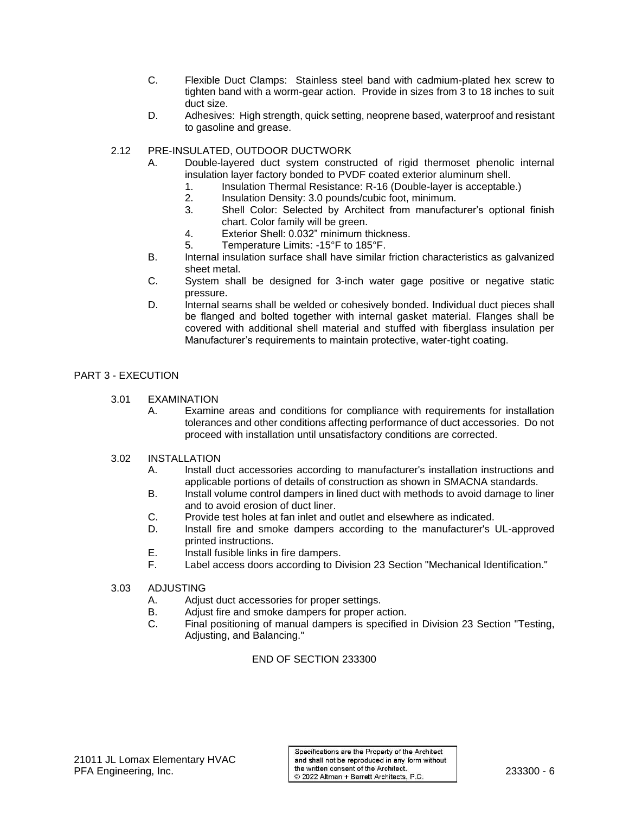- C. Flexible Duct Clamps: Stainless steel band with cadmium-plated hex screw to tighten band with a worm-gear action. Provide in sizes from 3 to 18 inches to suit duct size.
- D. Adhesives: High strength, quick setting, neoprene based, waterproof and resistant to gasoline and grease.
- 2.12 PRE-INSULATED, OUTDOOR DUCTWORK
	- A. Double-layered duct system constructed of rigid thermoset phenolic internal insulation layer factory bonded to PVDF coated exterior aluminum shell.
		- 1. Insulation Thermal Resistance: R-16 (Double-layer is acceptable.)
		- 2. Insulation Density: 3.0 pounds/cubic foot, minimum.
		- 3. Shell Color: Selected by Architect from manufacturer's optional finish chart. Color family will be green.
		- 4. Exterior Shell: 0.032" minimum thickness.
		- 5. Temperature Limits: -15°F to 185°F.
	- B. Internal insulation surface shall have similar friction characteristics as galvanized sheet metal.
	- C. System shall be designed for 3-inch water gage positive or negative static pressure.
	- D. Internal seams shall be welded or cohesively bonded. Individual duct pieces shall be flanged and bolted together with internal gasket material. Flanges shall be covered with additional shell material and stuffed with fiberglass insulation per Manufacturer's requirements to maintain protective, water-tight coating.

### PART 3 - EXECUTION

- 3.01 EXAMINATION
	- A. Examine areas and conditions for compliance with requirements for installation tolerances and other conditions affecting performance of duct accessories. Do not proceed with installation until unsatisfactory conditions are corrected.
- 3.02 INSTALLATION
	- A. Install duct accessories according to manufacturer's installation instructions and applicable portions of details of construction as shown in SMACNA standards.
	- B. Install volume control dampers in lined duct with methods to avoid damage to liner and to avoid erosion of duct liner.
	- C. Provide test holes at fan inlet and outlet and elsewhere as indicated.
	- D. Install fire and smoke dampers according to the manufacturer's UL-approved printed instructions.
	- E. Install fusible links in fire dampers.
	- F. Label access doors according to Division 23 Section "Mechanical Identification."

#### 3.03 ADJUSTING

- A. Adjust duct accessories for proper settings.<br>B. Adjust fire and smoke dampers for proper a
- Adjust fire and smoke dampers for proper action.
- C. Final positioning of manual dampers is specified in Division 23 Section "Testing, Adjusting, and Balancing."

## END OF SECTION 233300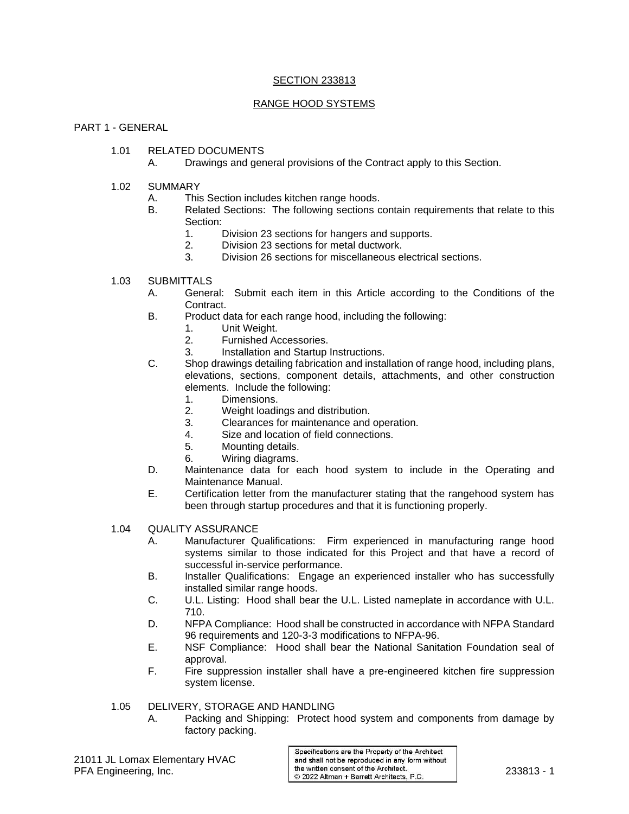## SECTION 233813

## RANGE HOOD SYSTEMS

### PART 1 - GENERAL

- 1.01 RELATED DOCUMENTS
	- A. Drawings and general provisions of the Contract apply to this Section.
- 1.02 SUMMARY
	- A. This Section includes kitchen range hoods.
	- B. Related Sections: The following sections contain requirements that relate to this Section:
		- 1. Division 23 sections for hangers and supports.
		- 2. Division 23 sections for metal ductwork.
		- 3. Division 26 sections for miscellaneous electrical sections.
- 1.03 SUBMITTALS
	- A. General: Submit each item in this Article according to the Conditions of the Contract.
	- B. Product data for each range hood, including the following:
		- 1. Unit Weight.
		- 2. Furnished Accessories.
		- 3. Installation and Startup Instructions.
	- C. Shop drawings detailing fabrication and installation of range hood, including plans, elevations, sections, component details, attachments, and other construction elements. Include the following:
		- 1. Dimensions.
		- 2. Weight loadings and distribution.
		- 3. Clearances for maintenance and operation.
		- 4. Size and location of field connections.
		- 5. Mounting details.
		- 6. Wiring diagrams.
	- D. Maintenance data for each hood system to include in the Operating and Maintenance Manual.
	- E. Certification letter from the manufacturer stating that the rangehood system has been through startup procedures and that it is functioning properly.
- 1.04 QUALITY ASSURANCE
	- A. Manufacturer Qualifications: Firm experienced in manufacturing range hood systems similar to those indicated for this Project and that have a record of successful in-service performance.
	- B. Installer Qualifications: Engage an experienced installer who has successfully installed similar range hoods.
	- C. U.L. Listing: Hood shall bear the U.L. Listed nameplate in accordance with U.L. 710.
	- D. NFPA Compliance: Hood shall be constructed in accordance with NFPA Standard 96 requirements and 120-3-3 modifications to NFPA-96.
	- E. NSF Compliance: Hood shall bear the National Sanitation Foundation seal of approval.
	- F. Fire suppression installer shall have a pre-engineered kitchen fire suppression system license.

## 1.05 DELIVERY, STORAGE AND HANDLING

A. Packing and Shipping: Protect hood system and components from damage by factory packing.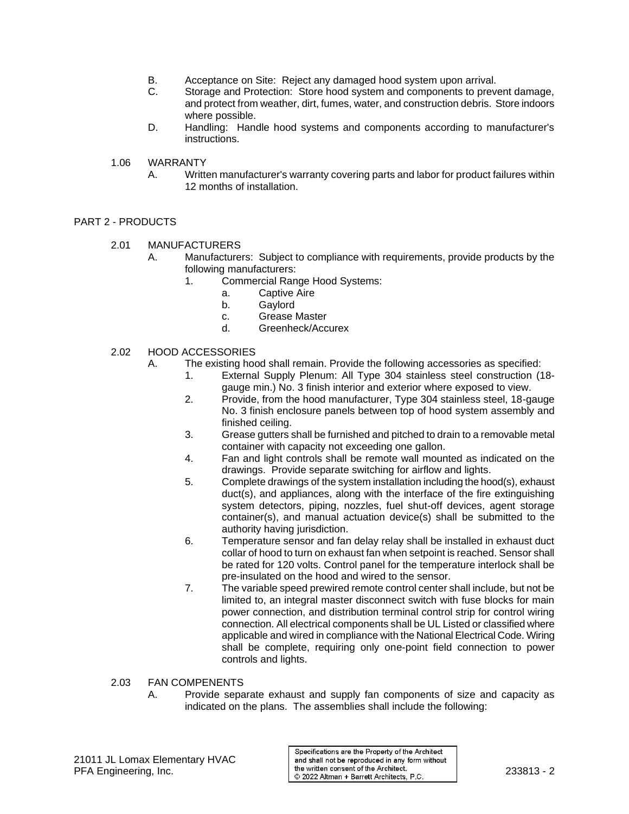- B. Acceptance on Site: Reject any damaged hood system upon arrival.
- C. Storage and Protection: Store hood system and components to prevent damage, and protect from weather, dirt, fumes, water, and construction debris. Store indoors where possible.
- D. Handling: Handle hood systems and components according to manufacturer's instructions.
- 1.06 WARRANTY
	- A. Written manufacturer's warranty covering parts and labor for product failures within 12 months of installation.

### PART 2 - PRODUCTS

- 2.01 MANUFACTURERS
	- A. Manufacturers: Subject to compliance with requirements, provide products by the following manufacturers:
		- 1. Commercial Range Hood Systems:
			- a. Captive Aire
			- b. Gaylord
			- c. Grease Master
			- d. Greenheck/Accurex
- 2.02 HOOD ACCESSORIES
	- A. The existing hood shall remain. Provide the following accessories as specified:
		- 1. External Supply Plenum: All Type 304 stainless steel construction (18 gauge min.) No. 3 finish interior and exterior where exposed to view.
		- 2. Provide, from the hood manufacturer, Type 304 stainless steel, 18-gauge No. 3 finish enclosure panels between top of hood system assembly and finished ceiling.
		- 3. Grease gutters shall be furnished and pitched to drain to a removable metal container with capacity not exceeding one gallon.
		- 4. Fan and light controls shall be remote wall mounted as indicated on the drawings. Provide separate switching for airflow and lights.
		- 5. Complete drawings of the system installation including the hood(s), exhaust duct(s), and appliances, along with the interface of the fire extinguishing system detectors, piping, nozzles, fuel shut-off devices, agent storage container(s), and manual actuation device(s) shall be submitted to the authority having jurisdiction.
		- 6. Temperature sensor and fan delay relay shall be installed in exhaust duct collar of hood to turn on exhaust fan when setpoint is reached. Sensor shall be rated for 120 volts. Control panel for the temperature interlock shall be pre-insulated on the hood and wired to the sensor.
		- 7. The variable speed prewired remote control center shall include, but not be limited to, an integral master disconnect switch with fuse blocks for main power connection, and distribution terminal control strip for control wiring connection. All electrical components shall be UL Listed or classified where applicable and wired in compliance with the National Electrical Code. Wiring shall be complete, requiring only one-point field connection to power controls and lights.
- 2.03 FAN COMPENENTS
	- A. Provide separate exhaust and supply fan components of size and capacity as indicated on the plans. The assemblies shall include the following:

Specifications are the Property of the Architect and shall not be reproduced in any form without PFA Engineering, Inc. The Written consent of the Architect.<br>
233813 - 2<br>
233813 - 2<br>
233813 - 2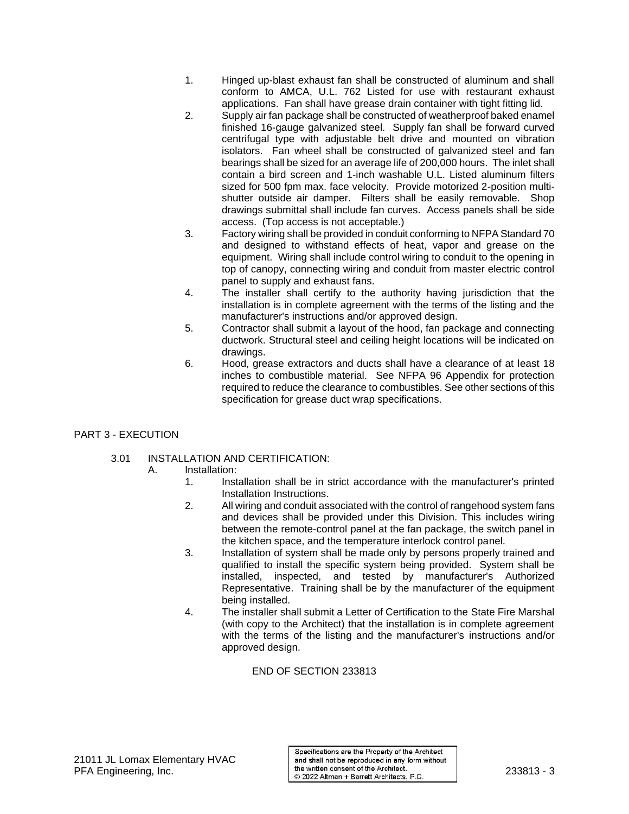- 1. Hinged up-blast exhaust fan shall be constructed of aluminum and shall conform to AMCA, U.L. 762 Listed for use with restaurant exhaust applications. Fan shall have grease drain container with tight fitting lid.
- 2. Supply air fan package shall be constructed of weatherproof baked enamel finished 16-gauge galvanized steel. Supply fan shall be forward curved centrifugal type with adjustable belt drive and mounted on vibration isolators. Fan wheel shall be constructed of galvanized steel and fan bearings shall be sized for an average life of 200,000 hours. The inlet shall contain a bird screen and 1-inch washable U.L. Listed aluminum filters sized for 500 fpm max. face velocity. Provide motorized 2-position multishutter outside air damper. Filters shall be easily removable. Shop drawings submittal shall include fan curves. Access panels shall be side access. (Top access is not acceptable.)
- 3. Factory wiring shall be provided in conduit conforming to NFPA Standard 70 and designed to withstand effects of heat, vapor and grease on the equipment. Wiring shall include control wiring to conduit to the opening in top of canopy, connecting wiring and conduit from master electric control panel to supply and exhaust fans.
- 4. The installer shall certify to the authority having jurisdiction that the installation is in complete agreement with the terms of the listing and the manufacturer's instructions and/or approved design.
- 5. Contractor shall submit a layout of the hood, fan package and connecting ductwork. Structural steel and ceiling height locations will be indicated on drawings.
- 6. Hood, grease extractors and ducts shall have a clearance of at least 18 inches to combustible material. See NFPA 96 Appendix for protection required to reduce the clearance to combustibles. See other sections of this specification for grease duct wrap specifications.

## PART 3 - EXECUTION

3.01 INSTALLATION AND CERTIFICATION:

## A. Installation:

- 1. Installation shall be in strict accordance with the manufacturer's printed Installation Instructions.
- 2. All wiring and conduit associated with the control of rangehood system fans and devices shall be provided under this Division. This includes wiring between the remote-control panel at the fan package, the switch panel in the kitchen space, and the temperature interlock control panel.
- 3. Installation of system shall be made only by persons properly trained and qualified to install the specific system being provided. System shall be installed, inspected, and tested by manufacturer's Authorized Representative. Training shall be by the manufacturer of the equipment being installed.
- 4. The installer shall submit a Letter of Certification to the State Fire Marshal (with copy to the Architect) that the installation is in complete agreement with the terms of the listing and the manufacturer's instructions and/or approved design.

## END OF SECTION 233813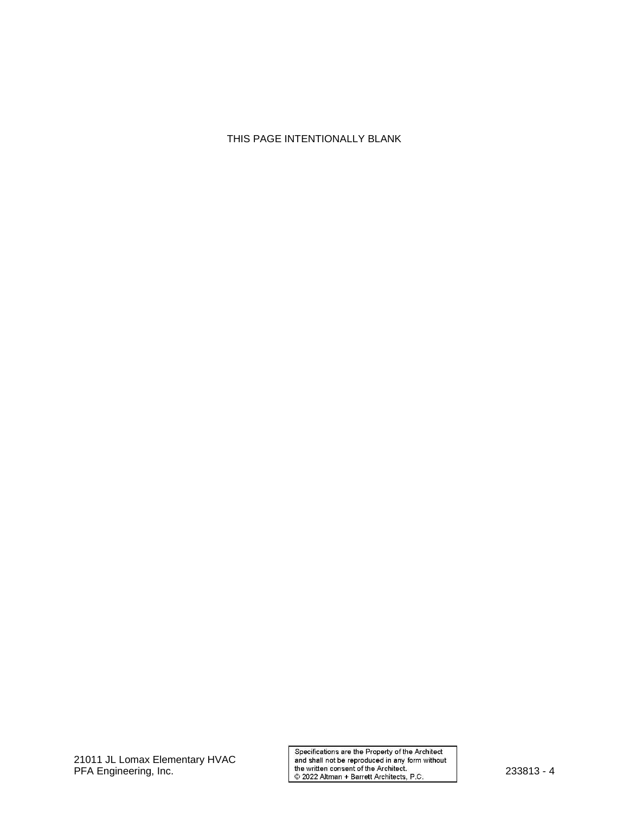## THIS PAGE INTENTIONALLY BLANK

21011 JL Lomax Elementary HVAC PFA Engineering, Inc. 233813 - 4 and the written consent of the Architect.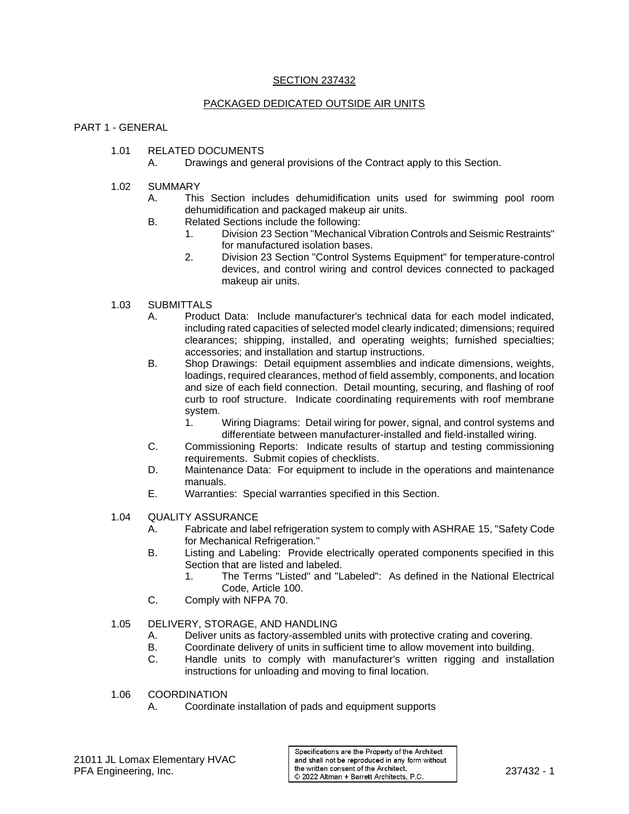### SECTION 237432

#### PACKAGED DEDICATED OUTSIDE AIR UNITS

#### PART 1 - GENERAL

- 1.01 RELATED DOCUMENTS
	- A. Drawings and general provisions of the Contract apply to this Section.
- 1.02 SUMMARY
	- A. This Section includes dehumidification units used for swimming pool room dehumidification and packaged makeup air units.
	- B. Related Sections include the following:
		- 1. Division 23 Section "Mechanical Vibration Controls and Seismic Restraints" for manufactured isolation bases.
		- 2. Division 23 Section "Control Systems Equipment" for temperature-control devices, and control wiring and control devices connected to packaged makeup air units.
- 1.03 SUBMITTALS
	- A. Product Data: Include manufacturer's technical data for each model indicated, including rated capacities of selected model clearly indicated; dimensions; required clearances; shipping, installed, and operating weights; furnished specialties; accessories; and installation and startup instructions.
	- B. Shop Drawings: Detail equipment assemblies and indicate dimensions, weights, loadings, required clearances, method of field assembly, components, and location and size of each field connection. Detail mounting, securing, and flashing of roof curb to roof structure. Indicate coordinating requirements with roof membrane system.
		- 1. Wiring Diagrams: Detail wiring for power, signal, and control systems and differentiate between manufacturer-installed and field-installed wiring.
	- C. Commissioning Reports: Indicate results of startup and testing commissioning requirements. Submit copies of checklists.
	- D. Maintenance Data: For equipment to include in the operations and maintenance manuals.
	- E. Warranties: Special warranties specified in this Section.
- 1.04 QUALITY ASSURANCE
	- A. Fabricate and label refrigeration system to comply with ASHRAE 15, "Safety Code for Mechanical Refrigeration."
	- B. Listing and Labeling: Provide electrically operated components specified in this Section that are listed and labeled.
		- 1. The Terms "Listed" and "Labeled": As defined in the National Electrical Code, Article 100.
	- C. Comply with NFPA 70.

## 1.05 DELIVERY, STORAGE, AND HANDLING

- A. Deliver units as factory-assembled units with protective crating and covering.
- B. Coordinate delivery of units in sufficient time to allow movement into building.
- C. Handle units to comply with manufacturer's written rigging and installation instructions for unloading and moving to final location.
- 1.06 COORDINATION
	- A. Coordinate installation of pads and equipment supports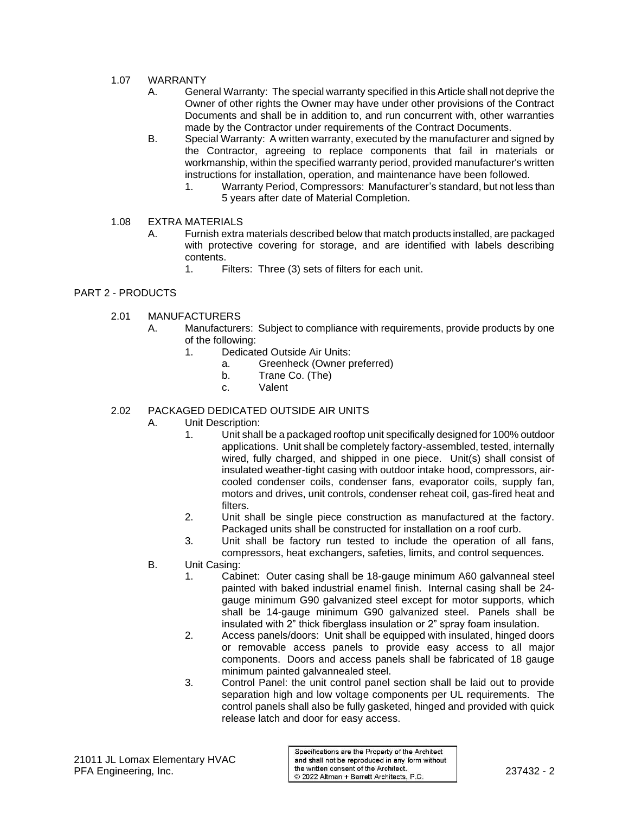## 1.07 WARRANTY

- A. General Warranty: The special warranty specified in this Article shall not deprive the Owner of other rights the Owner may have under other provisions of the Contract Documents and shall be in addition to, and run concurrent with, other warranties made by the Contractor under requirements of the Contract Documents.
- B. Special Warranty: A written warranty, executed by the manufacturer and signed by the Contractor, agreeing to replace components that fail in materials or workmanship, within the specified warranty period, provided manufacturer's written instructions for installation, operation, and maintenance have been followed.
	- 1. Warranty Period, Compressors: Manufacturer's standard, but not less than 5 years after date of Material Completion.
- 1.08 EXTRA MATERIALS
	- A. Furnish extra materials described below that match products installed, are packaged with protective covering for storage, and are identified with labels describing contents.
		- 1. Filters: Three (3) sets of filters for each unit.

## PART 2 - PRODUCTS

- 2.01 MANUFACTURERS
	- A. Manufacturers: Subject to compliance with requirements, provide products by one of the following:
		- 1. Dedicated Outside Air Units:
			- a. Greenheck (Owner preferred)
			- b. Trane Co. (The)
			- c. Valent

## 2.02 PACKAGED DEDICATED OUTSIDE AIR UNITS

- A. Unit Description:
	- 1. Unit shall be a packaged rooftop unit specifically designed for 100% outdoor applications. Unit shall be completely factory-assembled, tested, internally wired, fully charged, and shipped in one piece. Unit(s) shall consist of insulated weather-tight casing with outdoor intake hood, compressors, aircooled condenser coils, condenser fans, evaporator coils, supply fan, motors and drives, unit controls, condenser reheat coil, gas-fired heat and filters.
	- 2. Unit shall be single piece construction as manufactured at the factory. Packaged units shall be constructed for installation on a roof curb.
	- 3. Unit shall be factory run tested to include the operation of all fans, compressors, heat exchangers, safeties, limits, and control sequences.
- B. Unit Casing:
	- 1. Cabinet: Outer casing shall be 18-gauge minimum A60 galvanneal steel painted with baked industrial enamel finish. Internal casing shall be 24 gauge minimum G90 galvanized steel except for motor supports, which shall be 14-gauge minimum G90 galvanized steel. Panels shall be insulated with 2" thick fiberglass insulation or 2" spray foam insulation.
	- 2. Access panels/doors: Unit shall be equipped with insulated, hinged doors or removable access panels to provide easy access to all major components. Doors and access panels shall be fabricated of 18 gauge minimum painted galvannealed steel.
	- 3. Control Panel: the unit control panel section shall be laid out to provide separation high and low voltage components per UL requirements. The control panels shall also be fully gasketed, hinged and provided with quick release latch and door for easy access.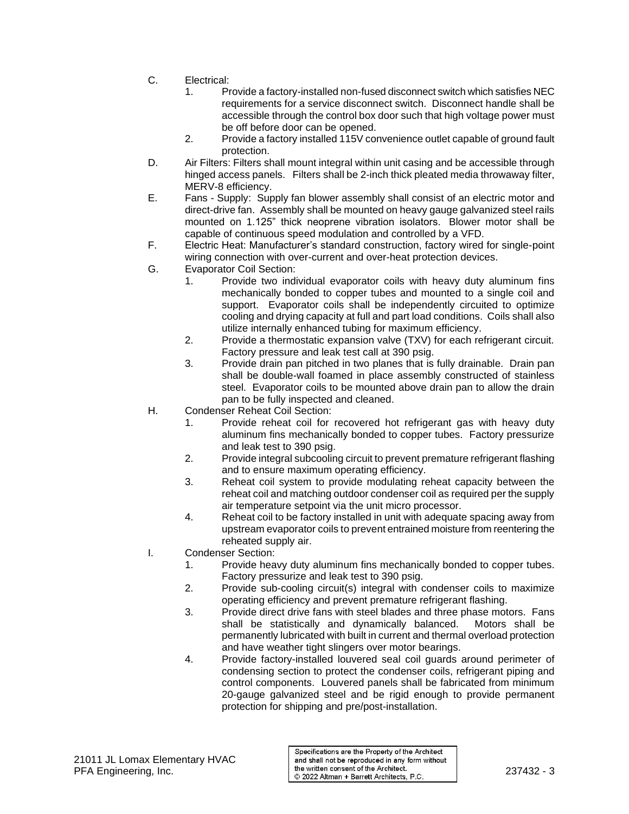- C. Electrical:
	- 1. Provide a factory-installed non-fused disconnect switch which satisfies NEC requirements for a service disconnect switch. Disconnect handle shall be accessible through the control box door such that high voltage power must be off before door can be opened.
	- 2. Provide a factory installed 115V convenience outlet capable of ground fault protection.
- D. Air Filters: Filters shall mount integral within unit casing and be accessible through hinged access panels. Filters shall be 2-inch thick pleated media throwaway filter, MERV-8 efficiency.
- E. Fans Supply: Supply fan blower assembly shall consist of an electric motor and direct-drive fan. Assembly shall be mounted on heavy gauge galvanized steel rails mounted on 1.125" thick neoprene vibration isolators. Blower motor shall be capable of continuous speed modulation and controlled by a VFD.
- F. Electric Heat: Manufacturer's standard construction, factory wired for single-point wiring connection with over-current and over-heat protection devices.
- G. Evaporator Coil Section:
	- 1. Provide two individual evaporator coils with heavy duty aluminum fins mechanically bonded to copper tubes and mounted to a single coil and support. Evaporator coils shall be independently circuited to optimize cooling and drying capacity at full and part load conditions. Coils shall also utilize internally enhanced tubing for maximum efficiency.
	- 2. Provide a thermostatic expansion valve (TXV) for each refrigerant circuit. Factory pressure and leak test call at 390 psig.
	- 3. Provide drain pan pitched in two planes that is fully drainable. Drain pan shall be double-wall foamed in place assembly constructed of stainless steel. Evaporator coils to be mounted above drain pan to allow the drain pan to be fully inspected and cleaned.
- H. Condenser Reheat Coil Section:
	- 1. Provide reheat coil for recovered hot refrigerant gas with heavy duty aluminum fins mechanically bonded to copper tubes. Factory pressurize and leak test to 390 psig.
	- 2. Provide integral subcooling circuit to prevent premature refrigerant flashing and to ensure maximum operating efficiency.
	- 3. Reheat coil system to provide modulating reheat capacity between the reheat coil and matching outdoor condenser coil as required per the supply air temperature setpoint via the unit micro processor.
	- 4. Reheat coil to be factory installed in unit with adequate spacing away from upstream evaporator coils to prevent entrained moisture from reentering the reheated supply air.
- I. Condenser Section:
	- 1. Provide heavy duty aluminum fins mechanically bonded to copper tubes. Factory pressurize and leak test to 390 psig.
	- 2. Provide sub-cooling circuit(s) integral with condenser coils to maximize operating efficiency and prevent premature refrigerant flashing.
	- 3. Provide direct drive fans with steel blades and three phase motors. Fans shall be statistically and dynamically balanced. Motors shall be permanently lubricated with built in current and thermal overload protection and have weather tight slingers over motor bearings.
	- 4. Provide factory-installed louvered seal coil guards around perimeter of condensing section to protect the condenser coils, refrigerant piping and control components. Louvered panels shall be fabricated from minimum 20-gauge galvanized steel and be rigid enough to provide permanent protection for shipping and pre/post-installation.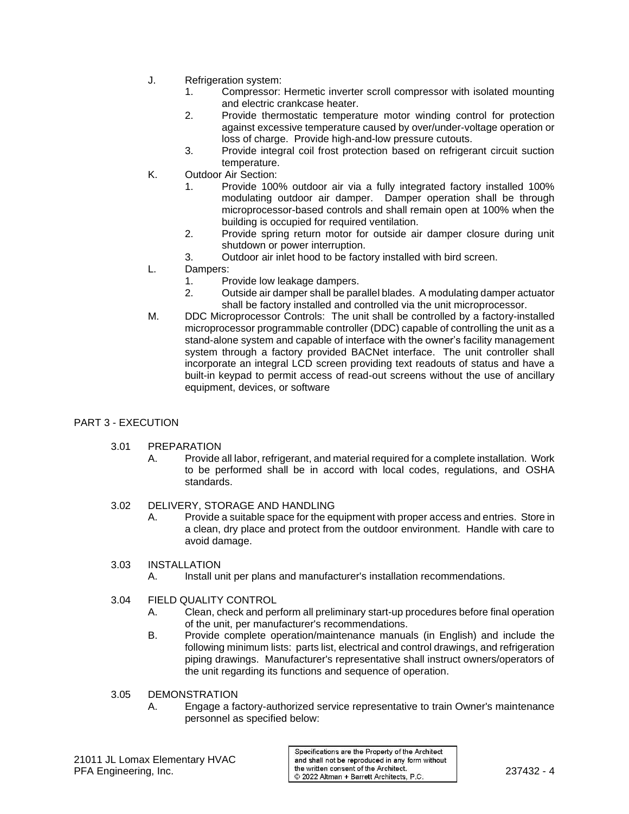- J. Refrigeration system:
	- 1. Compressor: Hermetic inverter scroll compressor with isolated mounting and electric crankcase heater.
	- 2. Provide thermostatic temperature motor winding control for protection against excessive temperature caused by over/under-voltage operation or loss of charge. Provide high-and-low pressure cutouts.
	- 3. Provide integral coil frost protection based on refrigerant circuit suction temperature.
- K. Outdoor Air Section:
	- 1. Provide 100% outdoor air via a fully integrated factory installed 100% modulating outdoor air damper. Damper operation shall be through microprocessor-based controls and shall remain open at 100% when the building is occupied for required ventilation.
	- 2. Provide spring return motor for outside air damper closure during unit shutdown or power interruption.
	- 3. Outdoor air inlet hood to be factory installed with bird screen.
- L. Dampers:
	- 1. Provide low leakage dampers.
	- 2. Outside air damper shall be parallel blades. A modulating damper actuator shall be factory installed and controlled via the unit microprocessor.
- M. DDC Microprocessor Controls: The unit shall be controlled by a factory-installed microprocessor programmable controller (DDC) capable of controlling the unit as a stand-alone system and capable of interface with the owner's facility management system through a factory provided BACNet interface. The unit controller shall incorporate an integral LCD screen providing text readouts of status and have a built-in keypad to permit access of read-out screens without the use of ancillary equipment, devices, or software

## PART 3 - EXECUTION

- 3.01 PREPARATION
	- A. Provide all labor, refrigerant, and material required for a complete installation. Work to be performed shall be in accord with local codes, regulations, and OSHA standards.

## 3.02 DELIVERY, STORAGE AND HANDLING

- A. Provide a suitable space for the equipment with proper access and entries. Store in a clean, dry place and protect from the outdoor environment. Handle with care to avoid damage.
- 3.03 INSTALLATION
	- A. Install unit per plans and manufacturer's installation recommendations.

## 3.04 FIELD QUALITY CONTROL

- A. Clean, check and perform all preliminary start-up procedures before final operation of the unit, per manufacturer's recommendations.
- B. Provide complete operation/maintenance manuals (in English) and include the following minimum lists: parts list, electrical and control drawings, and refrigeration piping drawings. Manufacturer's representative shall instruct owners/operators of the unit regarding its functions and sequence of operation.

## 3.05 DEMONSTRATION

A. Engage a factory-authorized service representative to train Owner's maintenance personnel as specified below: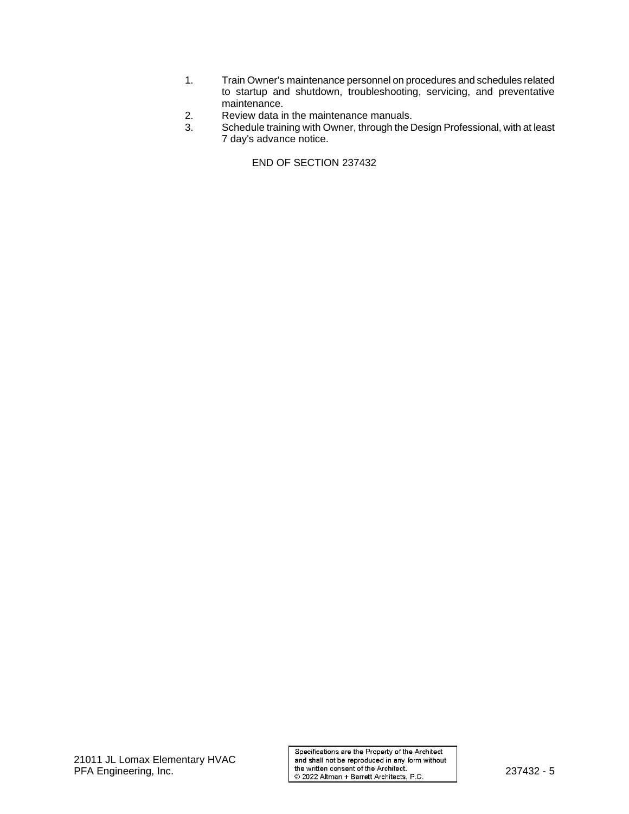- 1. Train Owner's maintenance personnel on procedures and schedules related to startup and shutdown, troubleshooting, servicing, and preventative maintenance.
- 2. Review data in the maintenance manuals.
- 3. Schedule training with Owner, through the Design Professional, with at least 7 day's advance notice.

END OF SECTION 237432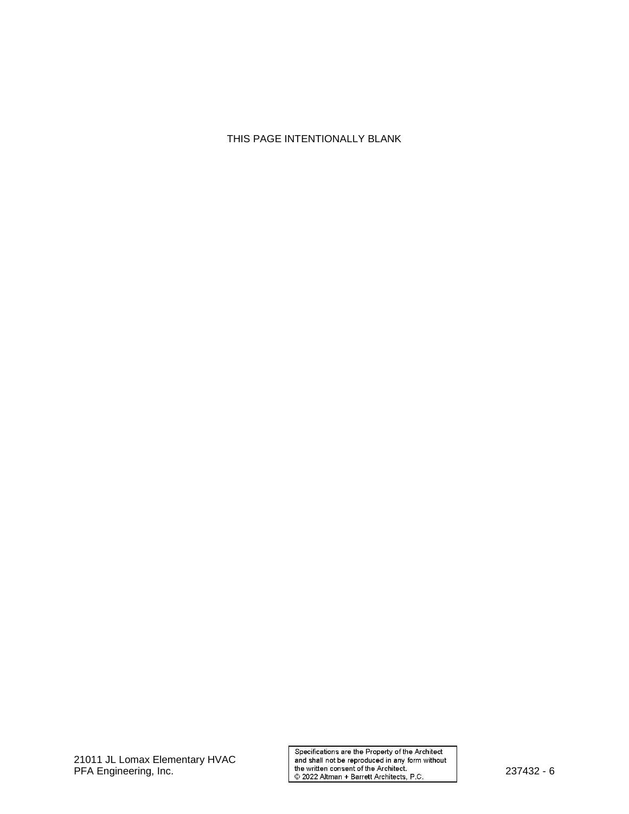## THIS PAGE INTENTIONALLY BLANK

21011 JL Lomax Elementary HVAC PFA Engineering, Inc. 237432 - 6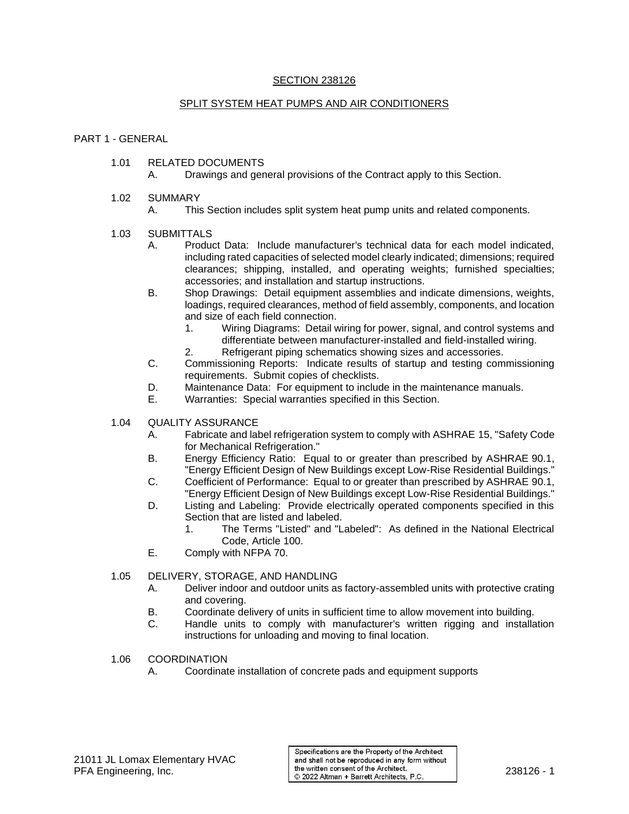### SECTION 238126

#### SPLIT SYSTEM HEAT PUMPS AND AIR CONDITIONERS

#### PART 1 - GENERAL

- 1.01 RELATED DOCUMENTS
	- A. Drawings and general provisions of the Contract apply to this Section.
- 1.02 SUMMARY
	- A. This Section includes split system heat pump units and related components.

#### 1.03 SUBMITTALS

- A. Product Data: Include manufacturer's technical data for each model indicated, including rated capacities of selected model clearly indicated; dimensions; required clearances; shipping, installed, and operating weights; furnished specialties; accessories; and installation and startup instructions.
- B. Shop Drawings: Detail equipment assemblies and indicate dimensions, weights, loadings, required clearances, method of field assembly, components, and location and size of each field connection.
	- 1. Wiring Diagrams: Detail wiring for power, signal, and control systems and differentiate between manufacturer-installed and field-installed wiring.
	- 2. Refrigerant piping schematics showing sizes and accessories.
- C. Commissioning Reports: Indicate results of startup and testing commissioning requirements. Submit copies of checklists.
- D. Maintenance Data: For equipment to include in the maintenance manuals.
- E. Warranties: Special warranties specified in this Section.
- 1.04 QUALITY ASSURANCE
	- A. Fabricate and label refrigeration system to comply with ASHRAE 15, "Safety Code for Mechanical Refrigeration."
	- B. Energy Efficiency Ratio: Equal to or greater than prescribed by ASHRAE 90.1, "Energy Efficient Design of New Buildings except Low-Rise Residential Buildings."
	- C. Coefficient of Performance: Equal to or greater than prescribed by ASHRAE 90.1, "Energy Efficient Design of New Buildings except Low-Rise Residential Buildings."
	- D. Listing and Labeling: Provide electrically operated components specified in this Section that are listed and labeled.
		- 1. The Terms "Listed" and "Labeled": As defined in the National Electrical Code, Article 100.
	- E. Comply with NFPA 70.

## 1.05 DELIVERY, STORAGE, AND HANDLING

- A. Deliver indoor and outdoor units as factory-assembled units with protective crating and covering.
- B. Coordinate delivery of units in sufficient time to allow movement into building.
- C. Handle units to comply with manufacturer's written rigging and installation instructions for unloading and moving to final location.
- 1.06 COORDINATION
	- A. Coordinate installation of concrete pads and equipment supports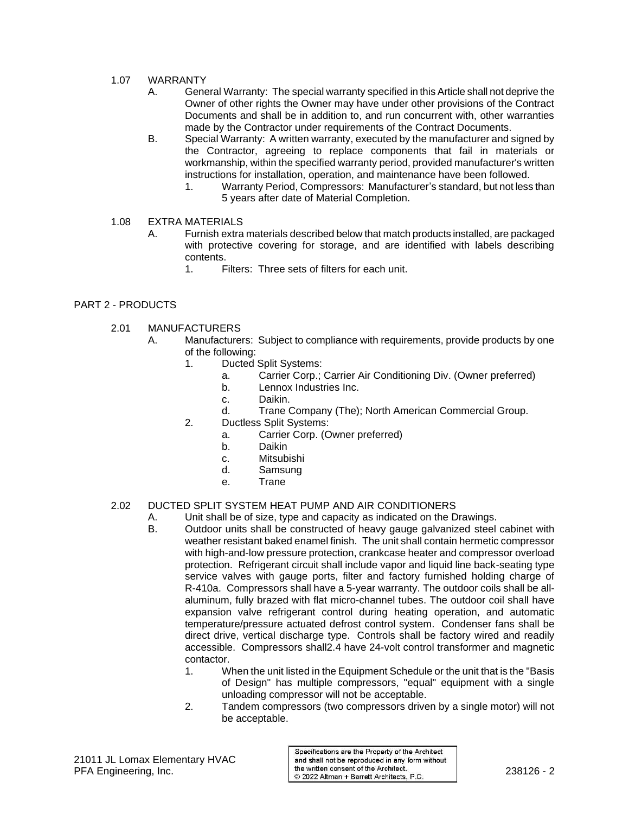## 1.07 WARRANTY

- A. General Warranty: The special warranty specified in this Article shall not deprive the Owner of other rights the Owner may have under other provisions of the Contract Documents and shall be in addition to, and run concurrent with, other warranties made by the Contractor under requirements of the Contract Documents.
- B. Special Warranty: A written warranty, executed by the manufacturer and signed by the Contractor, agreeing to replace components that fail in materials or workmanship, within the specified warranty period, provided manufacturer's written instructions for installation, operation, and maintenance have been followed.
	- 1. Warranty Period, Compressors: Manufacturer's standard, but not less than 5 years after date of Material Completion.
- 1.08 EXTRA MATERIALS
	- A. Furnish extra materials described below that match products installed, are packaged with protective covering for storage, and are identified with labels describing contents.
		- 1. Filters: Three sets of filters for each unit.

## PART 2 - PRODUCTS

- 2.01 MANUFACTURERS
	- A. Manufacturers: Subject to compliance with requirements, provide products by one of the following:
		- 1. Ducted Split Systems:
			- a. Carrier Corp.; Carrier Air Conditioning Div. (Owner preferred)
			- b. Lennox Industries Inc.
			- c. Daikin.
			- d. Trane Company (The); North American Commercial Group.
		- 2. Ductless Split Systems:
			- a. Carrier Corp. (Owner preferred)
			- b. Daikin
			- c. Mitsubishi
			- d. Samsung
			- e. Trane

## 2.02 DUCTED SPLIT SYSTEM HEAT PUMP AND AIR CONDITIONERS

- A. Unit shall be of size, type and capacity as indicated on the Drawings.
- B. Outdoor units shall be constructed of heavy gauge galvanized steel cabinet with weather resistant baked enamel finish. The unit shall contain hermetic compressor with high-and-low pressure protection, crankcase heater and compressor overload protection. Refrigerant circuit shall include vapor and liquid line back-seating type service valves with gauge ports, filter and factory furnished holding charge of R-410a. Compressors shall have a 5-year warranty. The outdoor coils shall be allaluminum, fully brazed with flat micro-channel tubes. The outdoor coil shall have expansion valve refrigerant control during heating operation, and automatic temperature/pressure actuated defrost control system. Condenser fans shall be direct drive, vertical discharge type. Controls shall be factory wired and readily accessible. Compressors shall2.4 have 24-volt control transformer and magnetic contactor.
	- 1. When the unit listed in the Equipment Schedule or the unit that is the "Basis of Design" has multiple compressors, "equal" equipment with a single unloading compressor will not be acceptable.
	- 2. Tandem compressors (two compressors driven by a single motor) will not be acceptable.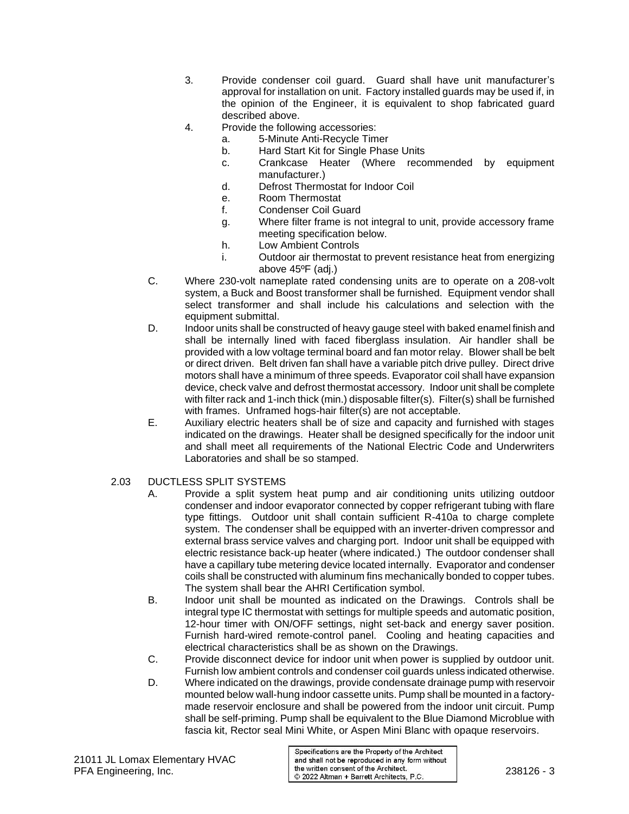- 3. Provide condenser coil guard. Guard shall have unit manufacturer's approval for installation on unit. Factory installed guards may be used if, in the opinion of the Engineer, it is equivalent to shop fabricated guard described above.
- 4. Provide the following accessories:
	- a. 5-Minute Anti-Recycle Timer
	- b. Hard Start Kit for Single Phase Units
	- c. Crankcase Heater (Where recommended by equipment manufacturer.)
	- d. Defrost Thermostat for Indoor Coil
	- e. Room Thermostat
	- f. Condenser Coil Guard
	- g. Where filter frame is not integral to unit, provide accessory frame meeting specification below.
	- h. Low Ambient Controls
	- i. Outdoor air thermostat to prevent resistance heat from energizing above 45ºF (adj.)
- C. Where 230-volt nameplate rated condensing units are to operate on a 208-volt system, a Buck and Boost transformer shall be furnished. Equipment vendor shall select transformer and shall include his calculations and selection with the equipment submittal.
- D. Indoor units shall be constructed of heavy gauge steel with baked enamel finish and shall be internally lined with faced fiberglass insulation. Air handler shall be provided with a low voltage terminal board and fan motor relay. Blower shall be belt or direct driven. Belt driven fan shall have a variable pitch drive pulley. Direct drive motors shall have a minimum of three speeds. Evaporator coil shall have expansion device, check valve and defrost thermostat accessory. Indoor unit shall be complete with filter rack and 1-inch thick (min.) disposable filter(s). Filter(s) shall be furnished with frames. Unframed hogs-hair filter(s) are not acceptable.
- E. Auxiliary electric heaters shall be of size and capacity and furnished with stages indicated on the drawings. Heater shall be designed specifically for the indoor unit and shall meet all requirements of the National Electric Code and Underwriters Laboratories and shall be so stamped.
- 2.03 DUCTLESS SPLIT SYSTEMS
	- A. Provide a split system heat pump and air conditioning units utilizing outdoor condenser and indoor evaporator connected by copper refrigerant tubing with flare type fittings. Outdoor unit shall contain sufficient R-410a to charge complete system. The condenser shall be equipped with an inverter-driven compressor and external brass service valves and charging port. Indoor unit shall be equipped with electric resistance back-up heater (where indicated.) The outdoor condenser shall have a capillary tube metering device located internally. Evaporator and condenser coils shall be constructed with aluminum fins mechanically bonded to copper tubes. The system shall bear the AHRI Certification symbol.
	- B. Indoor unit shall be mounted as indicated on the Drawings. Controls shall be integral type IC thermostat with settings for multiple speeds and automatic position, 12-hour timer with ON/OFF settings, night set-back and energy saver position. Furnish hard-wired remote-control panel. Cooling and heating capacities and electrical characteristics shall be as shown on the Drawings.
	- C. Provide disconnect device for indoor unit when power is supplied by outdoor unit. Furnish low ambient controls and condenser coil guards unless indicated otherwise.
	- D. Where indicated on the drawings, provide condensate drainage pump with reservoir mounted below wall-hung indoor cassette units. Pump shall be mounted in a factorymade reservoir enclosure and shall be powered from the indoor unit circuit. Pump shall be self-priming. Pump shall be equivalent to the Blue Diamond Microblue with fascia kit, Rector seal Mini White, or Aspen Mini Blanc with opaque reservoirs.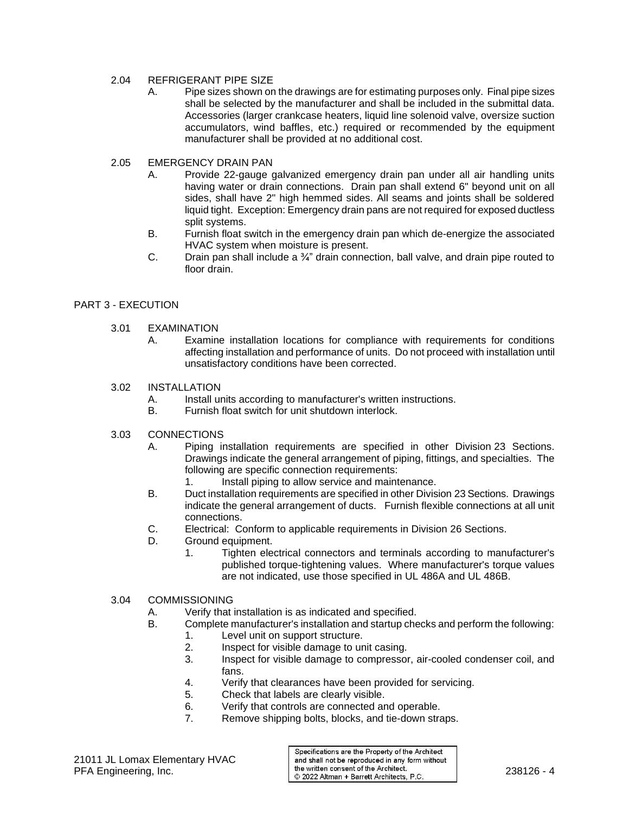## 2.04 REFRIGERANT PIPE SIZE

A. Pipe sizes shown on the drawings are for estimating purposes only. Final pipe sizes shall be selected by the manufacturer and shall be included in the submittal data. Accessories (larger crankcase heaters, liquid line solenoid valve, oversize suction accumulators, wind baffles, etc.) required or recommended by the equipment manufacturer shall be provided at no additional cost.

## 2.05 EMERGENCY DRAIN PAN

- A. Provide 22-gauge galvanized emergency drain pan under all air handling units having water or drain connections. Drain pan shall extend 6" beyond unit on all sides, shall have 2" high hemmed sides. All seams and joints shall be soldered liquid tight. Exception: Emergency drain pans are not required for exposed ductless split systems.
- B. Furnish float switch in the emergency drain pan which de-energize the associated HVAC system when moisture is present.
- C. Drain pan shall include a  $\frac{3}{4}$ " drain connection, ball valve, and drain pipe routed to floor drain.

## PART 3 - EXECUTION

- 3.01 EXAMINATION
	- A. Examine installation locations for compliance with requirements for conditions affecting installation and performance of units. Do not proceed with installation until unsatisfactory conditions have been corrected.

## 3.02 INSTALLATION

- A. Install units according to manufacturer's written instructions.
- B. Furnish float switch for unit shutdown interlock.
- 3.03 CONNECTIONS
	- A. Piping installation requirements are specified in other Division 23 Sections. Drawings indicate the general arrangement of piping, fittings, and specialties. The following are specific connection requirements:
		- 1. Install piping to allow service and maintenance.
	- B. Duct installation requirements are specified in other Division 23 Sections. Drawings indicate the general arrangement of ducts. Furnish flexible connections at all unit connections.
	- C. Electrical: Conform to applicable requirements in Division 26 Sections.
	- D. Ground equipment.
		- 1. Tighten electrical connectors and terminals according to manufacturer's published torque-tightening values. Where manufacturer's torque values are not indicated, use those specified in UL 486A and UL 486B.
- 3.04 COMMISSIONING
	- A. Verify that installation is as indicated and specified.
	- B. Complete manufacturer's installation and startup checks and perform the following:
		- 1. Level unit on support structure.
			- 2. Inspect for visible damage to unit casing.
			- 3. Inspect for visible damage to compressor, air-cooled condenser coil, and fans.
			- 4. Verify that clearances have been provided for servicing.
			- 5. Check that labels are clearly visible.
			- 6. Verify that controls are connected and operable.
			- 7. Remove shipping bolts, blocks, and tie-down straps.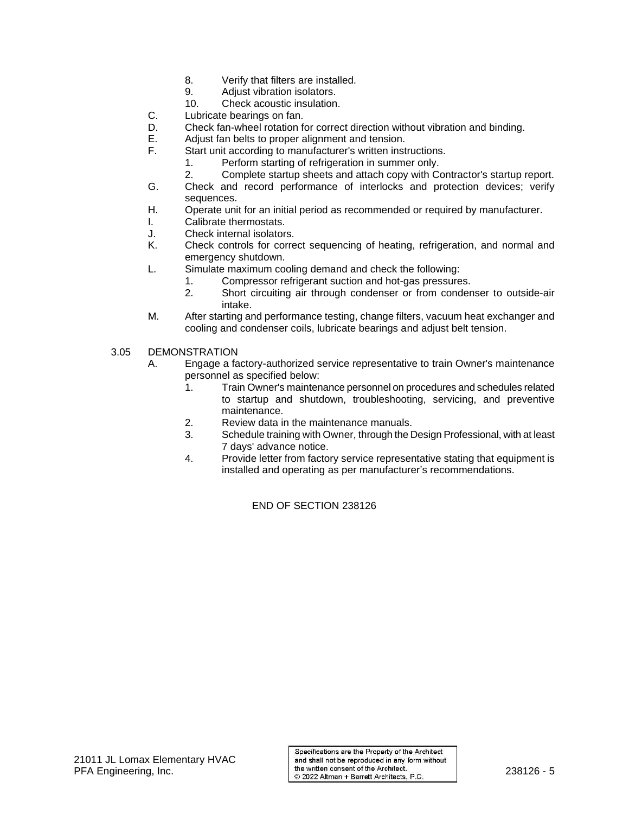- 8. Verify that filters are installed.
- 9. Adjust vibration isolators.
- 10. Check acoustic insulation.
- C. Lubricate bearings on fan.
- D. Check fan-wheel rotation for correct direction without vibration and binding.
- E. Adjust fan belts to proper alignment and tension.
- F. Start unit according to manufacturer's written instructions.
	- 1. Perform starting of refrigeration in summer only.
	- 2. Complete startup sheets and attach copy with Contractor's startup report.
- G. Check and record performance of interlocks and protection devices; verify sequences.
- H. Operate unit for an initial period as recommended or required by manufacturer.
- I. Calibrate thermostats.
- J. Check internal isolators.
- K. Check controls for correct sequencing of heating, refrigeration, and normal and emergency shutdown.
- L. Simulate maximum cooling demand and check the following:
	- 1. Compressor refrigerant suction and hot-gas pressures.
	- 2. Short circuiting air through condenser or from condenser to outside-air intake.
- M. After starting and performance testing, change filters, vacuum heat exchanger and cooling and condenser coils, lubricate bearings and adjust belt tension.
- 3.05 DEMONSTRATION
	- A. Engage a factory-authorized service representative to train Owner's maintenance personnel as specified below:
		- 1. Train Owner's maintenance personnel on procedures and schedules related to startup and shutdown, troubleshooting, servicing, and preventive maintenance.
		- 2. Review data in the maintenance manuals.
		- 3. Schedule training with Owner, through the Design Professional, with at least 7 days' advance notice.
		- 4. Provide letter from factory service representative stating that equipment is installed and operating as per manufacturer's recommendations.

END OF SECTION 238126